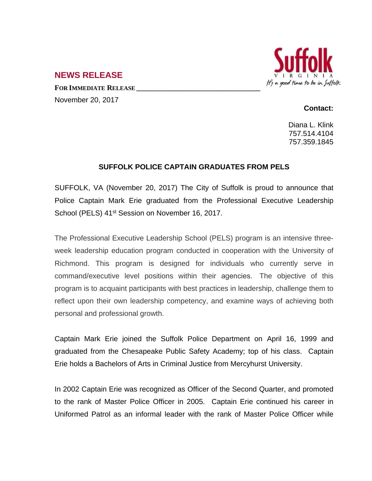

## **NEWS RELEASE**

**FOR IMMEDIATE RELEASE \_\_\_\_\_\_\_\_\_\_\_\_\_\_\_\_\_\_\_\_\_\_\_\_\_\_\_\_\_\_\_\_\_\_** November 20, 2017

## **Contact:**

Diana L. Klink 757.514.4104 757.359.1845

## **SUFFOLK POLICE CAPTAIN GRADUATES FROM PELS**

SUFFOLK, VA (November 20, 2017) The City of Suffolk is proud to announce that Police Captain Mark Erie graduated from the Professional Executive Leadership School (PELS) 41<sup>st</sup> Session on November 16, 2017.

The Professional Executive Leadership School (PELS) program is an intensive threeweek leadership education program conducted in cooperation with the University of Richmond. This program is designed for individuals who currently serve in command/executive level positions within their agencies. The objective of this program is to acquaint participants with best practices in leadership, challenge them to reflect upon their own leadership competency, and examine ways of achieving both personal and professional growth.

Captain Mark Erie joined the Suffolk Police Department on April 16, 1999 and graduated from the Chesapeake Public Safety Academy; top of his class. Captain Erie holds a Bachelors of Arts in Criminal Justice from Mercyhurst University.

In 2002 Captain Erie was recognized as Officer of the Second Quarter, and promoted to the rank of Master Police Officer in 2005. Captain Erie continued his career in Uniformed Patrol as an informal leader with the rank of Master Police Officer while